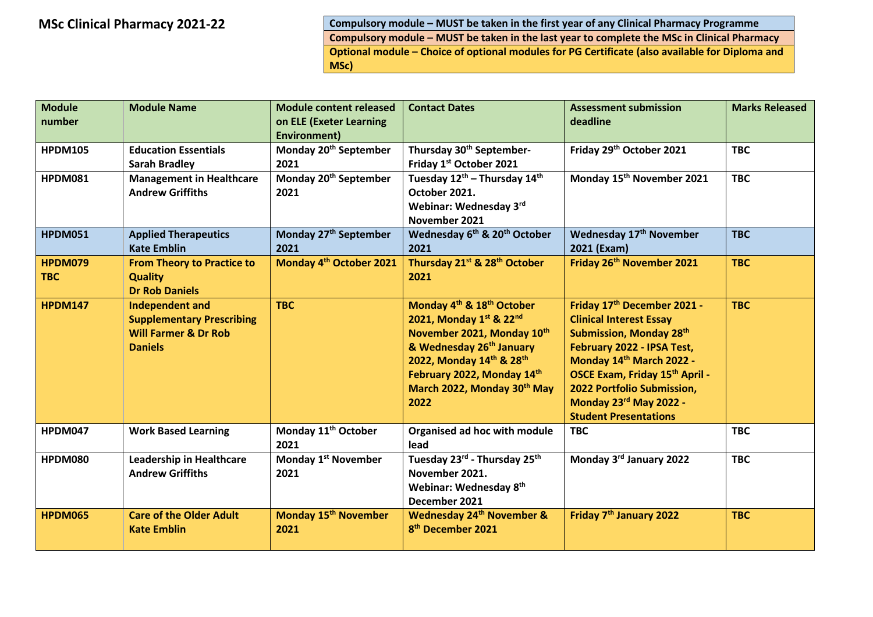**MSc Clinical Pharmacy 2021-22 Compulsory module – MUST be taken in the first year of any Clinical Pharmacy Programme Compulsory module – MUST be taken in the last year to complete the MSc in Clinical Pharmacy Optional module – Choice of optional modules for PG Certificate (also available for Diploma and MSc)** 

| <b>Module</b><br>number      | <b>Module Name</b>                                                                                              | <b>Module content released</b><br>on ELE (Exeter Learning<br><b>Environment)</b> | <b>Contact Dates</b>                                                                                                                                                                                                                                | <b>Assessment submission</b><br>deadline                                                                                                                                                                                                                                     | <b>Marks Released</b> |
|------------------------------|-----------------------------------------------------------------------------------------------------------------|----------------------------------------------------------------------------------|-----------------------------------------------------------------------------------------------------------------------------------------------------------------------------------------------------------------------------------------------------|------------------------------------------------------------------------------------------------------------------------------------------------------------------------------------------------------------------------------------------------------------------------------|-----------------------|
| <b>HPDM105</b>               | <b>Education Essentials</b><br><b>Sarah Bradley</b>                                                             | Monday 20 <sup>th</sup> September<br>2021                                        | Thursday 30 <sup>th</sup> September-<br>Friday 1st October 2021                                                                                                                                                                                     | Friday 29th October 2021                                                                                                                                                                                                                                                     | <b>TBC</b>            |
| <b>HPDM081</b>               | <b>Management in Healthcare</b><br><b>Andrew Griffiths</b>                                                      | Monday 20 <sup>th</sup> September<br>2021                                        | Tuesday $12^{\text{th}}$ – Thursday $14^{\text{th}}$<br>October 2021.<br>Webinar: Wednesday 3rd<br>November 2021                                                                                                                                    | Monday 15 <sup>th</sup> November 2021                                                                                                                                                                                                                                        | <b>TBC</b>            |
| <b>HPDM051</b>               | <b>Applied Therapeutics</b><br><b>Kate Emblin</b>                                                               | Monday 27 <sup>th</sup> September<br>2021                                        | Wednesday 6 <sup>th</sup> & 20 <sup>th</sup> October<br>2021                                                                                                                                                                                        | Wednesday 17 <sup>th</sup> November<br>2021 (Exam)                                                                                                                                                                                                                           | <b>TBC</b>            |
| <b>HPDM079</b><br><b>TBC</b> | <b>From Theory to Practice to</b><br><b>Quality</b><br><b>Dr Rob Daniels</b>                                    | Monday 4 <sup>th</sup> October 2021                                              | Thursday 21 <sup>st</sup> & 28 <sup>th</sup> October<br>2021                                                                                                                                                                                        | Friday 26 <sup>th</sup> November 2021                                                                                                                                                                                                                                        | <b>TBC</b>            |
| <b>HPDM147</b>               | <b>Independent and</b><br><b>Supplementary Prescribing</b><br><b>Will Farmer &amp; Dr Rob</b><br><b>Daniels</b> | <b>TBC</b>                                                                       | Monday 4 <sup>th</sup> & 18 <sup>th</sup> October<br>2021, Monday 1st & 22nd<br>November 2021, Monday 10th<br>& Wednesday 26 <sup>th</sup> January<br>2022, Monday 14th & 28th<br>February 2022, Monday 14th<br>March 2022, Monday 30th May<br>2022 | Friday 17th December 2021 -<br><b>Clinical Interest Essay</b><br>Submission, Monday 28th<br>February 2022 - IPSA Test,<br>Monday 14th March 2022 -<br>OSCE Exam, Friday 15th April -<br>2022 Portfolio Submission,<br>Monday 23rd May 2022 -<br><b>Student Presentations</b> | <b>TBC</b>            |
| <b>HPDM047</b>               | <b>Work Based Learning</b>                                                                                      | Monday 11 <sup>th</sup> October<br>2021                                          | Organised ad hoc with module<br>lead                                                                                                                                                                                                                | <b>TBC</b>                                                                                                                                                                                                                                                                   | <b>TBC</b>            |
| <b>HPDM080</b>               | <b>Leadership in Healthcare</b><br><b>Andrew Griffiths</b>                                                      | Monday 1 <sup>st</sup> November<br>2021                                          | Tuesday 23rd - Thursday 25th<br>November 2021.<br>Webinar: Wednesday 8 <sup>th</sup><br>December 2021                                                                                                                                               | Monday 3rd January 2022                                                                                                                                                                                                                                                      | <b>TBC</b>            |
| <b>HPDM065</b>               | <b>Care of the Older Adult</b><br><b>Kate Emblin</b>                                                            | Monday 15 <sup>th</sup> November<br>2021                                         | <b>Wednesday 24th November &amp;</b><br>8 <sup>th</sup> December 2021                                                                                                                                                                               | Friday 7 <sup>th</sup> January 2022                                                                                                                                                                                                                                          | <b>TBC</b>            |